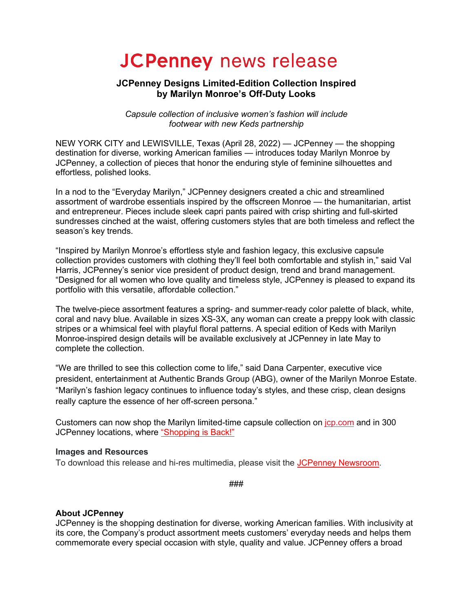# **JCPenney news release**

## **JCPenney Designs Limited-Edition Collection Inspired by Marilyn Monroe's Off-Duty Looks**

*Capsule collection of inclusive women's fashion will include footwear with new Keds partnership*

NEW YORK CITY and LEWISVILLE, Texas (April 28, 2022) — JCPenney — the shopping destination for diverse, working American families — introduces today Marilyn Monroe by JCPenney, a collection of pieces that honor the enduring style of feminine silhouettes and effortless, polished looks.

In a nod to the "Everyday Marilyn," JCPenney designers created a chic and streamlined assortment of wardrobe essentials inspired by the offscreen Monroe — the humanitarian, artist and entrepreneur. Pieces include sleek capri pants paired with crisp shirting and full-skirted sundresses cinched at the waist, offering customers styles that are both timeless and reflect the season's key trends.

"Inspired by Marilyn Monroe's effortless style and fashion legacy, this exclusive capsule collection provides customers with clothing they'll feel both comfortable and stylish in," said Val Harris, JCPenney's senior vice president of product design, trend and brand management. "Designed for all women who love quality and timeless style, JCPenney is pleased to expand its portfolio with this versatile, affordable collection."

The twelve-piece assortment features a spring- and summer-ready color palette of black, white, coral and navy blue. Available in sizes XS-3X, any woman can create a preppy look with classic stripes or a whimsical feel with playful floral patterns. A special edition of Keds with Marilyn Monroe-inspired design details will be available exclusively at JCPenney in late May to complete the collection.

"We are thrilled to see this collection come to life," said Dana Carpenter, executive vice president, entertainment at Authentic Brands Group (ABG), owner of the Marilyn Monroe Estate. "Marilyn's fashion legacy continues to influence today's styles, and these crisp, clean designs really capture the essence of her off-screen persona."

Customers can now shop the Marilyn limited-time capsule collection on jcp.com and in 300 JCPenney locations, where "Shopping is Back!"

### **Images and Resources**

To download this release and hi-res multimedia, please visit the JCPenney Newsroom.

###

## **About JCPenney**

JCPenney is the shopping destination for diverse, working American families. With inclusivity at its core, the Company's product assortment meets customers' everyday needs and helps them commemorate every special occasion with style, quality and value. JCPenney offers a broad